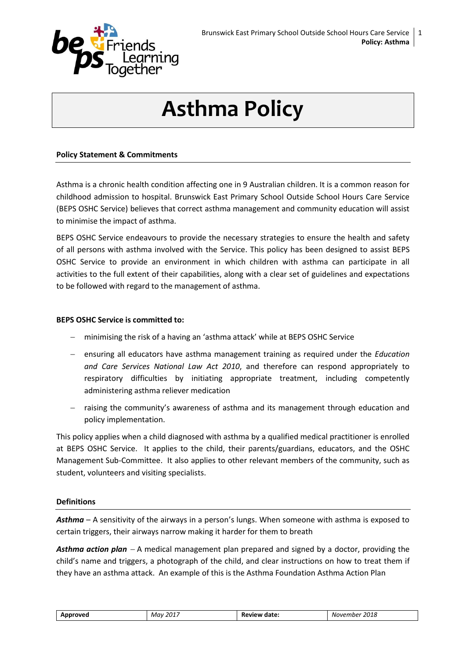

# **Asthma Policy**

#### **Policy Statement & Commitments**

Asthma is a chronic health condition affecting one in 9 Australian children. It is a common reason for childhood admission to hospital. Brunswick East Primary School Outside School Hours Care Service (BEPS OSHC Service) believes that correct asthma management and community education will assist to minimise the impact of asthma.

BEPS OSHC Service endeavours to provide the necessary strategies to ensure the health and safety of all persons with asthma involved with the Service. This policy has been designed to assist BEPS OSHC Service to provide an environment in which children with asthma can participate in all activities to the full extent of their capabilities, along with a clear set of guidelines and expectations to be followed with regard to the management of asthma.

#### **BEPS OSHC Service is committed to:**

- minimising the risk of a having an 'asthma attack' while at BEPS OSHC Service
- ensuring all educators have asthma management training as required under the *Education and Care Services National Law Act 2010*, and therefore can respond appropriately to respiratory difficulties by initiating appropriate treatment, including competently administering asthma reliever medication
- $-$  raising the community's awareness of asthma and its management through education and policy implementation.

This policy applies when a child diagnosed with asthma by a qualified medical practitioner is enrolled at BEPS OSHC Service. It applies to the child, their parents/guardians, educators, and the OSHC Management Sub-Committee. It also applies to other relevant members of the community, such as student, volunteers and visiting specialists.

#### **Definitions**

*Asthma* – A sensitivity of the airways in a person's lungs. When someone with asthma is exposed to certain triggers, their airways narrow making it harder for them to breath

Asthma action plan – A medical management plan prepared and signed by a doctor, providing the child's name and triggers, a photograph of the child, and clear instructions on how to treat them if they have an asthma attack. An example of this is the Asthma Foundation Asthma Action Plan

| Approved | 2017 | Review date: | 2018     |
|----------|------|--------------|----------|
| Mav      |      |              | November |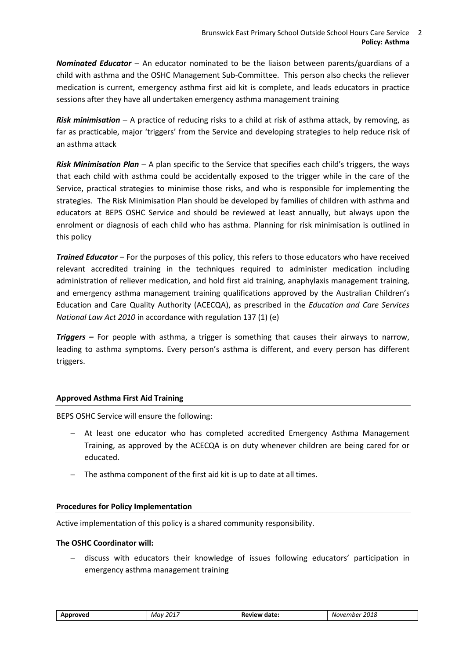*Nominated Educator* An educator nominated to be the liaison between parents/guardians of a child with asthma and the OSHC Management Sub-Committee. This person also checks the reliever medication is current, emergency asthma first aid kit is complete, and leads educators in practice sessions after they have all undertaken emergency asthma management training

*Risk minimisation* A practice of reducing risks to a child at risk of asthma attack, by removing, as far as practicable, major 'triggers' from the Service and developing strategies to help reduce risk of an asthma attack

*Risk Minimisation Plan* A plan specific to the Service that specifies each child's triggers, the ways that each child with asthma could be accidentally exposed to the trigger while in the care of the Service, practical strategies to minimise those risks, and who is responsible for implementing the strategies. The Risk Minimisation Plan should be developed by families of children with asthma and educators at BEPS OSHC Service and should be reviewed at least annually, but always upon the enrolment or diagnosis of each child who has asthma. Planning for risk minimisation is outlined in this policy

*Trained Educator* – For the purposes of this policy, this refers to those educators who have received relevant accredited training in the techniques required to administer medication including administration of reliever medication, and hold first aid training, anaphylaxis management training, and emergency asthma management training qualifications approved by the Australian Children's Education and Care Quality Authority (ACECQA), as prescribed in the *Education and Care Services National Law Act 2010* in accordance with regulation 137 (1) (e)

*Triggers –* For people with asthma, a trigger is something that causes their airways to narrow, leading to asthma symptoms. Every person's asthma is different, and every person has different triggers.

#### **Approved Asthma First Aid Training**

BEPS OSHC Service will ensure the following:

- At least one educator who has completed accredited Emergency Asthma Management Training, as approved by the ACECQA is on duty whenever children are being cared for or educated.
- The asthma component of the first aid kit is up to date at all times.

#### **Procedures for Policy Implementation**

Active implementation of this policy is a shared community responsibility.

#### **The OSHC Coordinator will:**

 discuss with educators their knowledge of issues following educators' participation in emergency asthma management training

| Approved | 2017<br>Mav | Review date: | 2018 <sup>.</sup><br>November |
|----------|-------------|--------------|-------------------------------|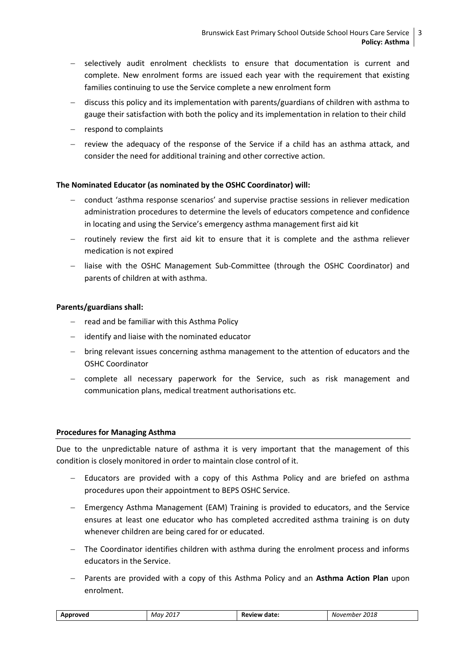- selectively audit enrolment checklists to ensure that documentation is current and complete. New enrolment forms are issued each year with the requirement that existing families continuing to use the Service complete a new enrolment form
- discuss this policy and its implementation with parents/guardians of children with asthma to gauge their satisfaction with both the policy and its implementation in relation to their child
- $-$  respond to complaints
- $-$  review the adequacy of the response of the Service if a child has an asthma attack, and consider the need for additional training and other corrective action.

#### **The Nominated Educator (as nominated by the OSHC Coordinator) will:**

- conduct 'asthma response scenarios' and supervise practise sessions in reliever medication administration procedures to determine the levels of educators competence and confidence in locating and using the Service's emergency asthma management first aid kit
- $-$  routinely review the first aid kit to ensure that it is complete and the asthma reliever medication is not expired
- liaise with the OSHC Management Sub-Committee (through the OSHC Coordinator) and parents of children at with asthma.

#### **Parents/guardians shall:**

- $-$  read and be familiar with this Asthma Policy
- $-$  identify and liaise with the nominated educator
- bring relevant issues concerning asthma management to the attention of educators and the OSHC Coordinator
- complete all necessary paperwork for the Service, such as risk management and communication plans, medical treatment authorisations etc.

#### **Procedures for Managing Asthma**

Due to the unpredictable nature of asthma it is very important that the management of this condition is closely monitored in order to maintain close control of it.

- Educators are provided with a copy of this Asthma Policy and are briefed on asthma procedures upon their appointment to BEPS OSHC Service.
- Emergency Asthma Management (EAM) Training is provided to educators, and the Service ensures at least one educator who has completed accredited asthma training is on duty whenever children are being cared for or educated.
- The Coordinator identifies children with asthma during the enrolment process and informs educators in the Service.
- Parents are provided with a copy of this Asthma Policy and an **Asthma Action Plan** upon enrolment.

| , 2017<br>2018<br>Review<br>v date:<br>Approved<br>May<br>November<br>____<br>___ |  |
|-----------------------------------------------------------------------------------|--|
|-----------------------------------------------------------------------------------|--|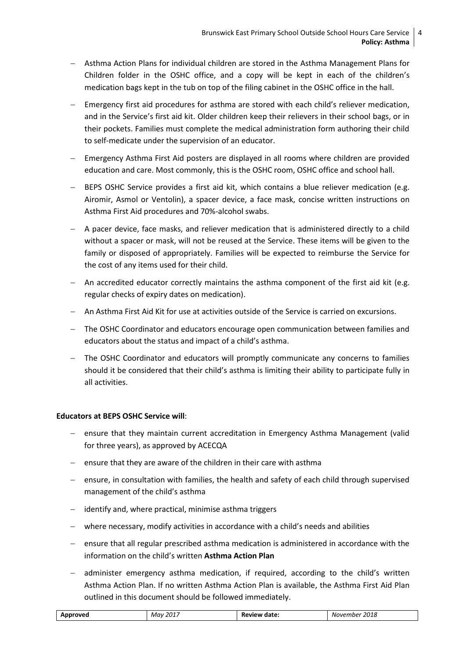- Asthma Action Plans for individual children are stored in the Asthma Management Plans for Children folder in the OSHC office, and a copy will be kept in each of the children's medication bags kept in the tub on top of the filing cabinet in the OSHC office in the hall.
- Emergency first aid procedures for asthma are stored with each child's reliever medication, and in the Service's first aid kit. Older children keep their relievers in their school bags, or in their pockets. Families must complete the medical administration form authoring their child to self-medicate under the supervision of an educator.
- Emergency Asthma First Aid posters are displayed in all rooms where children are provided education and care. Most commonly, this is the OSHC room, OSHC office and school hall.
- BEPS OSHC Service provides a first aid kit, which contains a blue reliever medication (e.g. Airomir, Asmol or Ventolin), a spacer device, a face mask, concise written instructions on Asthma First Aid procedures and 70%-alcohol swabs.
- A pacer device, face masks, and reliever medication that is administered directly to a child without a spacer or mask, will not be reused at the Service. These items will be given to the family or disposed of appropriately. Families will be expected to reimburse the Service for the cost of any items used for their child.
- An accredited educator correctly maintains the asthma component of the first aid kit (e.g. regular checks of expiry dates on medication).
- An Asthma First Aid Kit for use at activities outside of the Service is carried on excursions.
- The OSHC Coordinator and educators encourage open communication between families and educators about the status and impact of a child's asthma.
- The OSHC Coordinator and educators will promptly communicate any concerns to families should it be considered that their child's asthma is limiting their ability to participate fully in all activities.

#### **Educators at BEPS OSHC Service will**:

- ensure that they maintain current accreditation in Emergency Asthma Management (valid for three years), as approved by ACECQA
- $-$  ensure that they are aware of the children in their care with asthma
- ensure, in consultation with families, the health and safety of each child through supervised management of the child's asthma
- identify and, where practical, minimise asthma triggers
- where necessary, modify activities in accordance with a child's needs and abilities
- ensure that all regular prescribed asthma medication is administered in accordance with the information on the child's written **Asthma Action Plan**
- administer emergency asthma medication, if required, according to the child's written Asthma Action Plan. If no written Asthma Action Plan is available, the Asthma First Aid Plan outlined in this document should be followed immediately.

| roveo<br>An | , 2011<br>May<br>____ | Review<br>date<br>N<br>. | 2018<br>NOVPI<br>-mner<br>___ |
|-------------|-----------------------|--------------------------|-------------------------------|
|             |                       |                          |                               |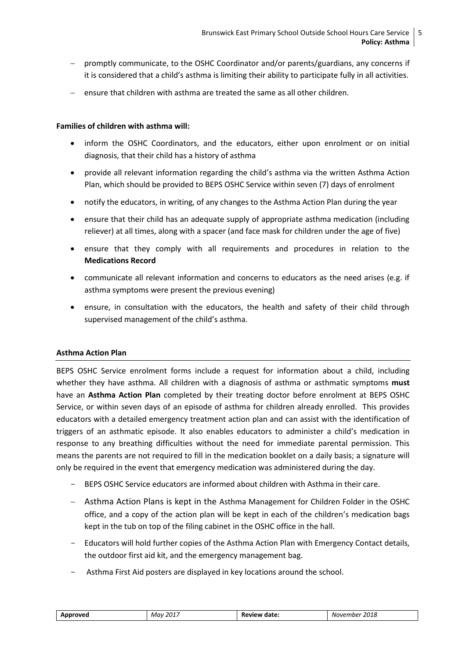- promptly communicate, to the OSHC Coordinator and/or parents/guardians, any concerns if it is considered that a child's asthma is limiting their ability to participate fully in all activities.
- $\epsilon$  ensure that children with asthma are treated the same as all other children.

#### **Families of children with asthma will:**

- inform the OSHC Coordinators, and the educators, either upon enrolment or on initial diagnosis, that their child has a history of asthma
- provide all relevant information regarding the child's asthma via the written Asthma Action Plan, which should be provided to BEPS OSHC Service within seven (7) days of enrolment
- notify the educators, in writing, of any changes to the Asthma Action Plan during the year
- ensure that their child has an adequate supply of appropriate asthma medication (including reliever) at all times, along with a spacer (and face mask for children under the age of five)
- ensure that they comply with all requirements and procedures in relation to the **Medications Record**
- communicate all relevant information and concerns to educators as the need arises (e.g. if asthma symptoms were present the previous evening)
- ensure, in consultation with the educators, the health and safety of their child through supervised management of the child's asthma.

#### **Asthma Action Plan**

BEPS OSHC Service enrolment forms include a request for information about a child, including whether they have asthma. All children with a diagnosis of asthma or asthmatic symptoms **must** have an **Asthma Action Plan** completed by their treating doctor before enrolment at BEPS OSHC Service, or within seven days of an episode of asthma for children already enrolled. This provides educators with a detailed emergency treatment action plan and can assist with the identification of triggers of an asthmatic episode. It also enables educators to administer a child's medication in response to any breathing difficulties without the need for immediate parental permission. This means the parents are not required to fill in the medication booklet on a daily basis; a signature will only be required in the event that emergency medication was administered during the day.

- BEPS OSHC Service educators are informed about children with Asthma in their care.
- Asthma Action Plans is kept in the Asthma Management for Children Folder in the OSHC office, and a copy of the action plan will be kept in each of the children's medication bags kept in the tub on top of the filing cabinet in the OSHC office in the hall.
- Educators will hold further copies of the Asthma Action Plan with Emergency Contact details, the outdoor first aid kit, and the emergency management bag.
- Asthma First Aid posters are displayed in key locations around the school.

| Mav 2017<br>Approved | <b>Review date:</b> | 2018<br>November |
|----------------------|---------------------|------------------|
|----------------------|---------------------|------------------|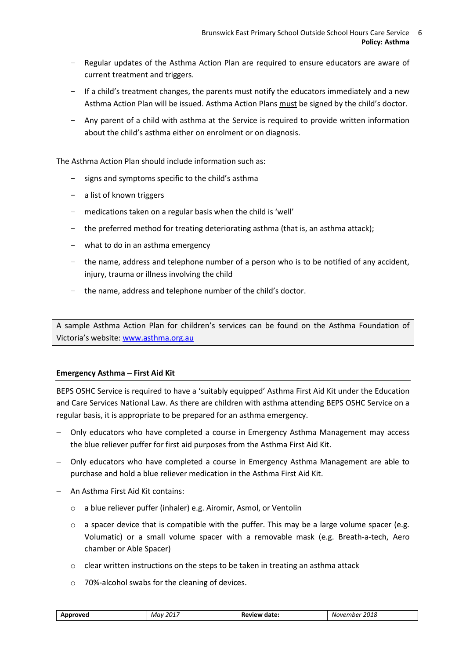- Regular updates of the Asthma Action Plan are required to ensure educators are aware of current treatment and triggers.
- If a child's treatment changes, the parents must notify the educators immediately and a new Asthma Action Plan will be issued. Asthma Action Plans must be signed by the child's doctor.
- Any parent of a child with asthma at the Service is required to provide written information about the child's asthma either on enrolment or on diagnosis.

The Asthma Action Plan should include information such as:

- signs and symptoms specific to the child's asthma
- a list of known triggers
- medications taken on a regular basis when the child is 'well'
- the preferred method for treating deteriorating asthma (that is, an asthma attack);
- what to do in an asthma emergency
- the name, address and telephone number of a person who is to be notified of any accident, injury, trauma or illness involving the child
- the name, address and telephone number of the child's doctor.

A sample Asthma Action Plan for children's services can be found on the Asthma Foundation of Victoria's website: [www.asthma.org.au](http://www.asthma.org.au/)

#### **Emergency Asthma - First Aid Kit**

BEPS OSHC Service is required to have a 'suitably equipped' Asthma First Aid Kit under the Education and Care Services National Law. As there are children with asthma attending BEPS OSHC Service on a regular basis, it is appropriate to be prepared for an asthma emergency.

- Only educators who have completed a course in Emergency Asthma Management may access the blue reliever puffer for first aid purposes from the Asthma First Aid Kit.
- Only educators who have completed a course in Emergency Asthma Management are able to purchase and hold a blue reliever medication in the Asthma First Aid Kit.
- An Asthma First Aid Kit contains:
	- o a blue reliever puffer (inhaler) e.g. Airomir, Asmol, or Ventolin
	- $\circ$  a spacer device that is compatible with the puffer. This may be a large volume spacer (e.g. Volumatic) or a small volume spacer with a removable mask (e.g. Breath-a-tech, Aero chamber or Able Spacer)
	- $\circ$  clear written instructions on the steps to be taken in treating an asthma attack
	- o 70%-alcohol swabs for the cleaning of devices.

| Approved<br>Mav | $201^{\circ}$ | <b>Review date:</b> | 2018<br>November |
|-----------------|---------------|---------------------|------------------|
|-----------------|---------------|---------------------|------------------|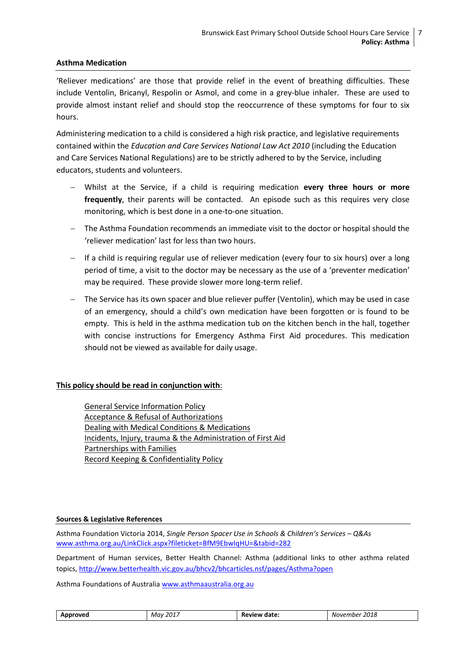#### **Asthma Medication**

'Reliever medications' are those that provide relief in the event of breathing difficulties. These include Ventolin, Bricanyl, Respolin or Asmol, and come in a grey-blue inhaler. These are used to provide almost instant relief and should stop the reoccurrence of these symptoms for four to six hours.

Administering medication to a child is considered a high risk practice, and legislative requirements contained within the *Education and Care Services National Law Act 2010* (including the Education and Care Services National Regulations) are to be strictly adhered to by the Service, including educators, students and volunteers.

- Whilst at the Service, if a child is requiring medication **every three hours or more frequently**, their parents will be contacted. An episode such as this requires very close monitoring, which is best done in a one-to-one situation.
- The Asthma Foundation recommends an immediate visit to the doctor or hospital should the 'reliever medication' last for less than two hours.
- If a child is requiring regular use of reliever medication (every four to six hours) over a long period of time, a visit to the doctor may be necessary as the use of a 'preventer medication' may be required. These provide slower more long-term relief.
- The Service has its own spacer and blue reliever puffer (Ventolin), which may be used in case of an emergency, should a child's own medication have been forgotten or is found to be empty. This is held in the asthma medication tub on the kitchen bench in the hall, together with concise instructions for Emergency Asthma First Aid procedures. This medication should not be viewed as available for daily usage.

#### **This policy should be read in conjunction with**:

General Service Information Policy Acceptance & Refusal of Authorizations Dealing with Medical Conditions & Medications Incidents, Injury, trauma & the Administration of First Aid Partnerships with Families [Record Keeping & Confidentiality Policy](file:///C:/Users/08478100/Desktop/2017%20OSHC%20Policies%20to%20be%20uploaded%20to%20website/Information%20for%20Families%202017/BEPS%20OSHC%20POLICY_Enrolment%20,%20Re-enrolment%20&%20Orientation%20of%20Children%20July%202017.docx%23_5.7_PRIVACY_POLICY)

#### **Sources & Legislative References**

Asthma Foundation Victoria 2014, *Single Person Spacer Use in Schools & Children's Services – Q&As* [www.asthma.org.au/LinkClick.aspx?fileticket=BfM9EbwIqHU=&tabid=282](http://www.asthma.org.au/LinkClick.aspx?fileticket=BfM9EbwIqHU%3d&tabid=282)

Department of Human services, Better Health Channel: Asthma (additional links to other asthma related topics, <http://www.betterhealth.vic.gov.au/bhcv2/bhcarticles.nsf/pages/Asthma?open>

Asthma Foundations of Australia www.asthmaaustralia.org.au

| Approved | 2017<br>Mav<br>____ | <b>Review date:</b> | 2018<br>November |
|----------|---------------------|---------------------|------------------|
|----------|---------------------|---------------------|------------------|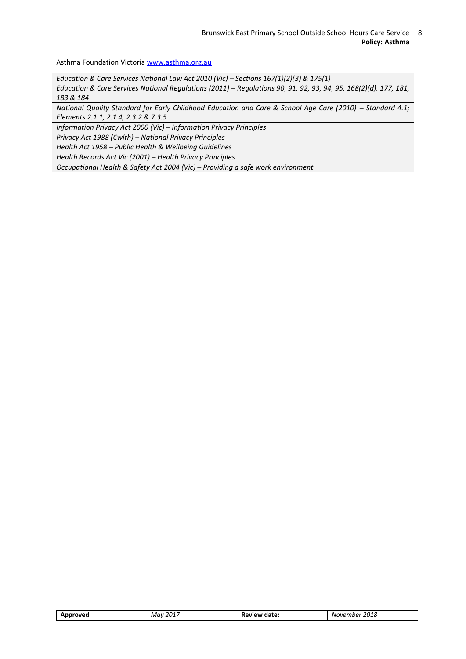Asthma Foundation Victoria [www.asthma.org.au](http://www.asthma.org.au/)

*Education & Care Services National Law Act 2010 (Vic) – Sections 167(1)(2)(3) & 175(1)*

*Education & Care Services National Regulations (2011) – Regulations 90, 91, 92, 93, 94, 95, 168(2)(d), 177, 181, 183 & 184*

*National Quality Standard for Early Childhood Education and Care & School Age Care (2010) – Standard 4.1; Elements 2.1.1, 2.1.4, 2.3.2 & 7.3.5*

*Information Privacy Act 2000 (Vic) – Information Privacy Principles*

*Privacy Act 1988 (Cwlth) – National Privacy Principles*

*Health Act 1958 – Public Health & Wellbeing Guidelines*

*Health Records Act Vic (2001) – Health Privacy Principles*

*Occupational Health & Safety Act 2004 (Vic) – Providing a safe work environment*

| $\sim$<br>$M \alpha_1$<br>៷<br>ט נט:<br>,,,,<br>___<br>.<br>______<br>. |  |
|-------------------------------------------------------------------------|--|
|-------------------------------------------------------------------------|--|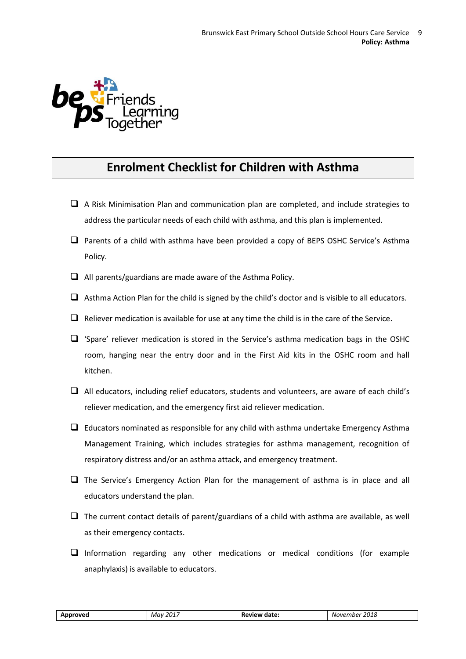

### **Enrolment Checklist for Children with Asthma**

- $\Box$  A Risk Minimisation Plan and communication plan are completed, and include strategies to address the particular needs of each child with asthma, and this plan is implemented.
- $\Box$  Parents of a child with asthma have been provided a copy of BEPS OSHC Service's Asthma Policy.
- $\Box$  All parents/guardians are made aware of the Asthma Policy.
- $\Box$  Asthma Action Plan for the child is signed by the child's doctor and is visible to all educators.
- $\Box$  Reliever medication is available for use at any time the child is in the care of the Service.
- $\Box$  'Spare' reliever medication is stored in the Service's asthma medication bags in the OSHC room, hanging near the entry door and in the First Aid kits in the OSHC room and hall kitchen.
- $\Box$  All educators, including relief educators, students and volunteers, are aware of each child's reliever medication, and the emergency first aid reliever medication.
- $\Box$  Educators nominated as responsible for any child with asthma undertake Emergency Asthma Management Training, which includes strategies for asthma management, recognition of respiratory distress and/or an asthma attack, and emergency treatment.
- $\Box$  The Service's Emergency Action Plan for the management of asthma is in place and all educators understand the plan.
- $\Box$  The current contact details of parent/guardians of a child with asthma are available, as well as their emergency contacts.
- $\Box$  Information regarding any other medications or medical conditions (for example anaphylaxis) is available to educators.

| Approved | .<br>201<br>Mav<br>____ | Review date: | 2018<br>November |
|----------|-------------------------|--------------|------------------|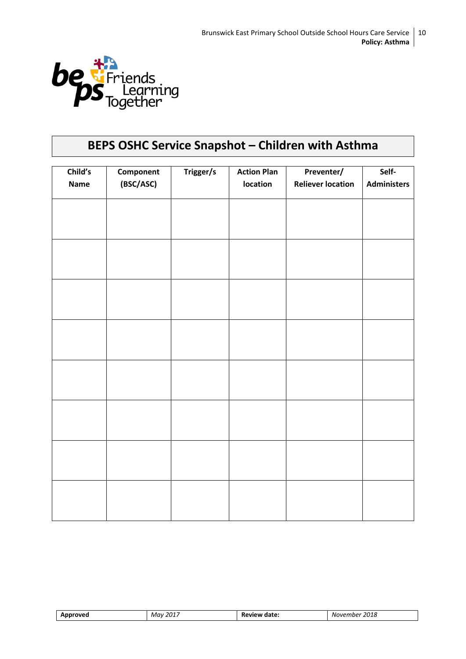

## **BEPS OSHC Service Snapshot – Children with Asthma**

| Child's<br><b>Name</b> | Component<br>(BSC/ASC) | Trigger/s | <b>Action Plan</b><br>location | Preventer/<br><b>Reliever location</b> | Self-<br><b>Administers</b> |
|------------------------|------------------------|-----------|--------------------------------|----------------------------------------|-----------------------------|
|                        |                        |           |                                |                                        |                             |
|                        |                        |           |                                |                                        |                             |
|                        |                        |           |                                |                                        |                             |
|                        |                        |           |                                |                                        |                             |
|                        |                        |           |                                |                                        |                             |
|                        |                        |           |                                |                                        |                             |
|                        |                        |           |                                |                                        |                             |
|                        |                        |           |                                |                                        |                             |
|                        |                        |           |                                |                                        |                             |
|                        |                        |           |                                |                                        |                             |
|                        |                        |           |                                |                                        |                             |
|                        |                        |           |                                |                                        |                             |
|                        |                        |           |                                |                                        |                             |
|                        |                        |           |                                |                                        |                             |
|                        |                        |           |                                |                                        |                             |

| ---- | 2017<br>May<br>_____ | ---<br>aate.<br>$-1$<br>_____ | 2010<br><b>NG</b><br>.nner<br>. $n \nu$<br>7018.<br>___<br>. |
|------|----------------------|-------------------------------|--------------------------------------------------------------|
|      |                      |                               |                                                              |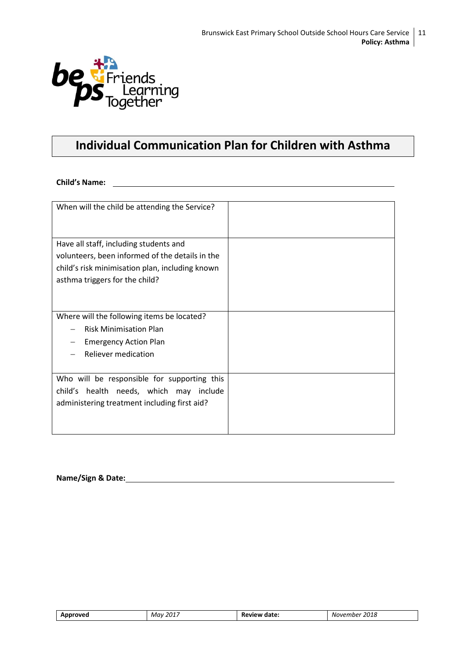

### **Individual Communication Plan for Children with Asthma**

**Child's Name:**

| When will the child be attending the Service?   |  |
|-------------------------------------------------|--|
| Have all staff, including students and          |  |
| volunteers, been informed of the details in the |  |
| child's risk minimisation plan, including known |  |
|                                                 |  |
| asthma triggers for the child?                  |  |
|                                                 |  |
| Where will the following items be located?      |  |
| <b>Risk Minimisation Plan</b>                   |  |
| <b>Emergency Action Plan</b>                    |  |
| <b>Reliever medication</b>                      |  |
|                                                 |  |
| Who will be responsible for supporting this     |  |
| health needs, which may include<br>child's      |  |
| administering treatment including first aid?    |  |
|                                                 |  |
|                                                 |  |
|                                                 |  |

**Name/Sign & Date:**

| ገህቦ<br>$-$ | 2017<br>Mav<br>ــ ب.<br>____ | date:<br>ĸŧ<br>$   -$ | 2018<br>Noven<br>nnne.<br>____<br>_____ |
|------------|------------------------------|-----------------------|-----------------------------------------|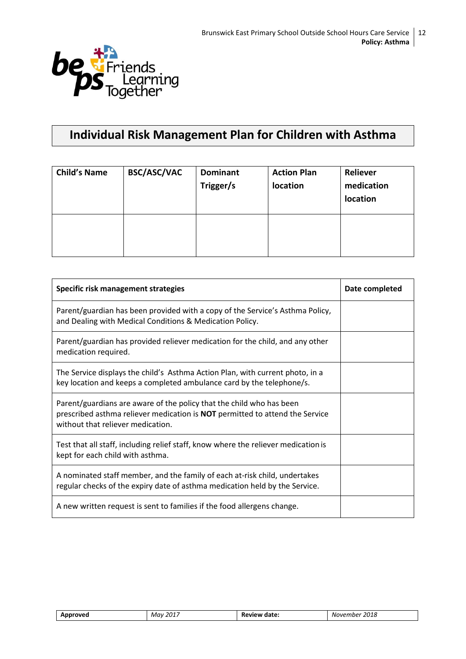

### **Individual Risk Management Plan for Children with Asthma**

| <b>Child's Name</b> | <b>BSC/ASC/VAC</b> | <b>Dominant</b><br>Trigger/s | <b>Action Plan</b><br>location | <b>Reliever</b><br>medication<br>location |
|---------------------|--------------------|------------------------------|--------------------------------|-------------------------------------------|
|                     |                    |                              |                                |                                           |

| Specific risk management strategies                                                                                                                                                       | Date completed |
|-------------------------------------------------------------------------------------------------------------------------------------------------------------------------------------------|----------------|
| Parent/guardian has been provided with a copy of the Service's Asthma Policy,<br>and Dealing with Medical Conditions & Medication Policy.                                                 |                |
| Parent/guardian has provided reliever medication for the child, and any other<br>medication required.                                                                                     |                |
| The Service displays the child's Asthma Action Plan, with current photo, in a<br>key location and keeps a completed ambulance card by the telephone/s.                                    |                |
| Parent/guardians are aware of the policy that the child who has been<br>prescribed asthma reliever medication is NOT permitted to attend the Service<br>without that reliever medication. |                |
| Test that all staff, including relief staff, know where the reliever medication is<br>kept for each child with asthma.                                                                    |                |
| A nominated staff member, and the family of each at-risk child, undertakes<br>regular checks of the expiry date of asthma medication held by the Service.                                 |                |
| A new written request is sent to families if the food allergens change.                                                                                                                   |                |

| Approved | 2017 | <b>Review</b> | 2018     |
|----------|------|---------------|----------|
|          | Mav  | date:         | November |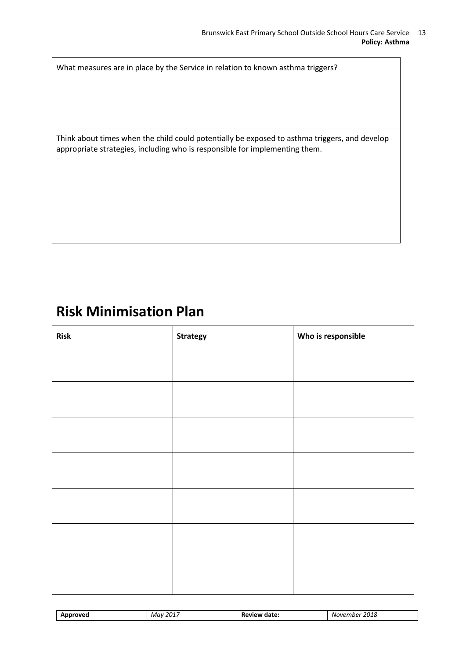What measures are in place by the Service in relation to known asthma triggers?

Think about times when the child could potentially be exposed to asthma triggers, and develop appropriate strategies, including who is responsible for implementing them.

# **Risk Minimisation Plan**

| <b>Risk</b> | Strategy | Who is responsible |
|-------------|----------|--------------------|
|             |          |                    |
|             |          |                    |
|             |          |                    |
|             |          |                    |
|             |          |                    |
|             |          |                    |
|             |          |                    |
|             |          |                    |
|             |          |                    |
|             |          |                    |
|             |          |                    |
|             |          |                    |
|             |          |                    |
|             |          |                    |

| יימ<br>$ -$ | 2017<br>May<br>____ | ----<br>ĸ<br>аан<br>--<br>______ | 34C<br>Nι<br>$J^{\prime}$<br>uner.<br>2018<br>___<br>____ |
|-------------|---------------------|----------------------------------|-----------------------------------------------------------|
|             |                     |                                  |                                                           |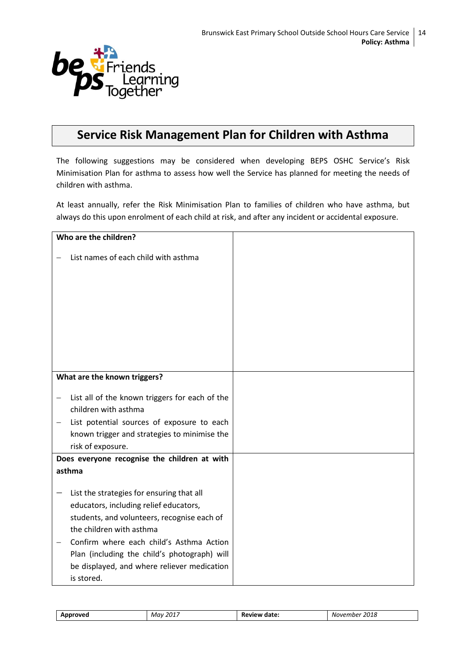

### **Service Risk Management Plan for Children with Asthma**

The following suggestions may be considered when developing BEPS OSHC Service's Risk Minimisation Plan for asthma to assess how well the Service has planned for meeting the needs of children with asthma.

At least annually, refer the Risk Minimisation Plan to families of children who have asthma, but always do this upon enrolment of each child at risk, and after any incident or accidental exposure.

| Who are the children?                                                                                                                                                                                                                                                                                                   |  |
|-------------------------------------------------------------------------------------------------------------------------------------------------------------------------------------------------------------------------------------------------------------------------------------------------------------------------|--|
| List names of each child with asthma                                                                                                                                                                                                                                                                                    |  |
| What are the known triggers?                                                                                                                                                                                                                                                                                            |  |
|                                                                                                                                                                                                                                                                                                                         |  |
| List all of the known triggers for each of the                                                                                                                                                                                                                                                                          |  |
| children with asthma                                                                                                                                                                                                                                                                                                    |  |
| List potential sources of exposure to each                                                                                                                                                                                                                                                                              |  |
| known trigger and strategies to minimise the                                                                                                                                                                                                                                                                            |  |
| risk of exposure.                                                                                                                                                                                                                                                                                                       |  |
| Does everyone recognise the children at with                                                                                                                                                                                                                                                                            |  |
| asthma                                                                                                                                                                                                                                                                                                                  |  |
| List the strategies for ensuring that all<br>educators, including relief educators,<br>students, and volunteers, recognise each of<br>the children with asthma<br>Confirm where each child's Asthma Action<br>Plan (including the child's photograph) will<br>be displayed, and where reliever medication<br>is stored. |  |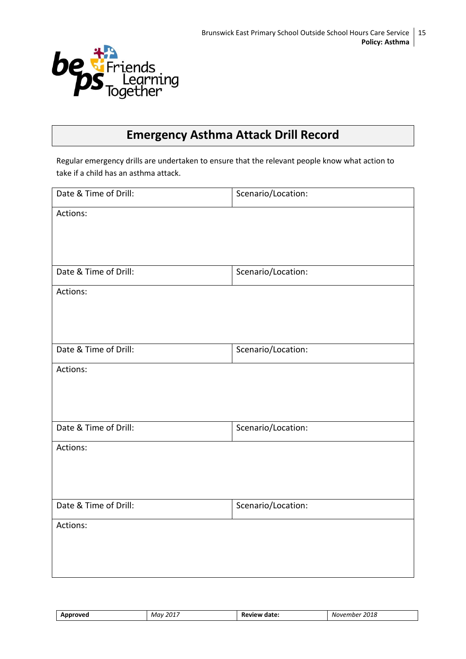

### **Emergency Asthma Attack Drill Record**

Regular emergency drills are undertaken to ensure that the relevant people know what action to take if a child has an asthma attack.

| Actions:<br>Date & Time of Drill:<br>Scenario/Location:<br>Actions:<br>Date & Time of Drill:<br>Scenario/Location:<br>Actions:<br>Date & Time of Drill:<br>Scenario/Location:<br>Actions: | Date & Time of Drill: | Scenario/Location: |
|-------------------------------------------------------------------------------------------------------------------------------------------------------------------------------------------|-----------------------|--------------------|
|                                                                                                                                                                                           |                       |                    |
|                                                                                                                                                                                           |                       |                    |
|                                                                                                                                                                                           |                       |                    |
|                                                                                                                                                                                           |                       |                    |
|                                                                                                                                                                                           |                       |                    |
|                                                                                                                                                                                           |                       |                    |
|                                                                                                                                                                                           |                       |                    |
|                                                                                                                                                                                           |                       |                    |
|                                                                                                                                                                                           |                       |                    |
|                                                                                                                                                                                           |                       |                    |
|                                                                                                                                                                                           |                       |                    |
|                                                                                                                                                                                           |                       |                    |
|                                                                                                                                                                                           |                       |                    |
|                                                                                                                                                                                           |                       |                    |
|                                                                                                                                                                                           |                       |                    |
| Date & Time of Drill:<br>Scenario/Location:                                                                                                                                               |                       |                    |
| Actions:                                                                                                                                                                                  |                       |                    |
|                                                                                                                                                                                           |                       |                    |
|                                                                                                                                                                                           |                       |                    |

| <b>YOVEG</b><br>- - - | 2017<br>Mav<br>_____ | date:<br>'VIt<br>. | 2018<br>NOVPI<br>mne.<br>___<br>____ |
|-----------------------|----------------------|--------------------|--------------------------------------|